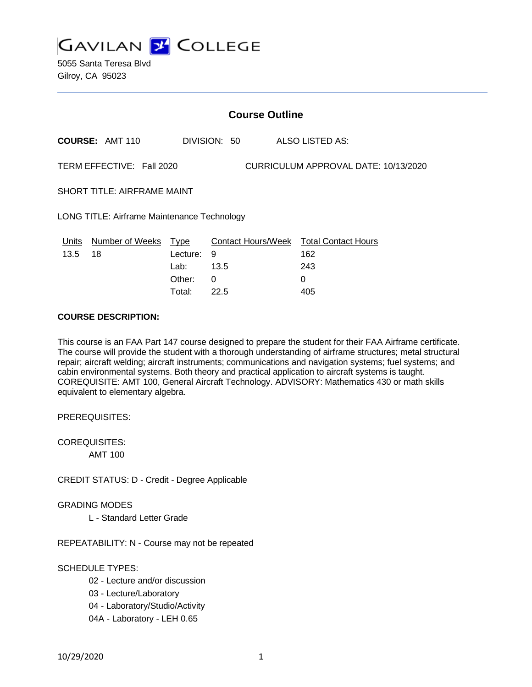

5055 Santa Teresa Blvd Gilroy, CA 95023

|                                                                   | <b>Course Outline</b>      |                  |              |  |                                                      |  |
|-------------------------------------------------------------------|----------------------------|------------------|--------------|--|------------------------------------------------------|--|
|                                                                   | COURSE: AMT 110            |                  | DIVISION: 50 |  | <b>ALSO LISTED AS:</b>                               |  |
| TERM EFFECTIVE: Fall 2020<br>CURRICULUM APPROVAL DATE: 10/13/2020 |                            |                  |              |  |                                                      |  |
| SHORT TITLE: AIRFRAME MAINT                                       |                            |                  |              |  |                                                      |  |
| <b>LONG TITLE: Airframe Maintenance Technology</b>                |                            |                  |              |  |                                                      |  |
| Units<br>13.5                                                     | Number of Weeks Type<br>18 | Lecture:<br>Lab: | 9<br>13.5    |  | Contact Hours/Week Total Contact Hours<br>162<br>243 |  |
|                                                                   |                            | Other:           | 0            |  | 0                                                    |  |

Total: 22.5 405

## **COURSE DESCRIPTION:**

This course is an FAA Part 147 course designed to prepare the student for their FAA Airframe certificate. The course will provide the student with a thorough understanding of airframe structures; metal structural repair; aircraft welding; aircraft instruments; communications and navigation systems; fuel systems; and cabin environmental systems. Both theory and practical application to aircraft systems is taught. COREQUISITE: AMT 100, General Aircraft Technology. ADVISORY: Mathematics 430 or math skills equivalent to elementary algebra.

PREREQUISITES:

COREQUISITES: AMT 100

CREDIT STATUS: D - Credit - Degree Applicable

GRADING MODES

L - Standard Letter Grade

REPEATABILITY: N - Course may not be repeated

### SCHEDULE TYPES:

- 02 Lecture and/or discussion
- 03 Lecture/Laboratory
- 04 Laboratory/Studio/Activity
- 04A Laboratory LEH 0.65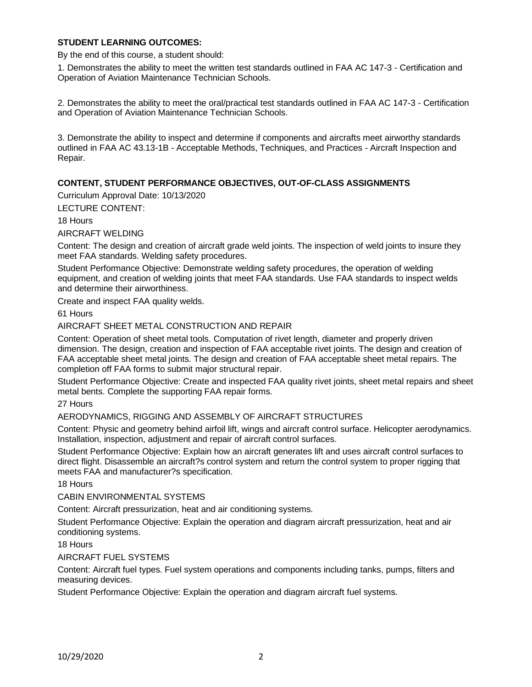## **STUDENT LEARNING OUTCOMES:**

By the end of this course, a student should:

1. Demonstrates the ability to meet the written test standards outlined in FAA AC 147-3 - Certification and Operation of Aviation Maintenance Technician Schools.

2. Demonstrates the ability to meet the oral/practical test standards outlined in FAA AC 147-3 - Certification and Operation of Aviation Maintenance Technician Schools.

3. Demonstrate the ability to inspect and determine if components and aircrafts meet airworthy standards outlined in FAA AC 43.13-1B - Acceptable Methods, Techniques, and Practices - Aircraft Inspection and Repair.

## **CONTENT, STUDENT PERFORMANCE OBJECTIVES, OUT-OF-CLASS ASSIGNMENTS**

Curriculum Approval Date: 10/13/2020

LECTURE CONTENT:

18 Hours

AIRCRAFT WELDING

Content: The design and creation of aircraft grade weld joints. The inspection of weld joints to insure they meet FAA standards. Welding safety procedures.

Student Performance Objective: Demonstrate welding safety procedures, the operation of welding equipment, and creation of welding joints that meet FAA standards. Use FAA standards to inspect welds and determine their airworthiness.

Create and inspect FAA quality welds.

61 Hours

### AIRCRAFT SHEET METAL CONSTRUCTION AND REPAIR

Content: Operation of sheet metal tools. Computation of rivet length, diameter and properly driven dimension. The design, creation and inspection of FAA acceptable rivet joints. The design and creation of FAA acceptable sheet metal joints. The design and creation of FAA acceptable sheet metal repairs. The completion off FAA forms to submit major structural repair.

Student Performance Objective: Create and inspected FAA quality rivet joints, sheet metal repairs and sheet metal bents. Complete the supporting FAA repair forms.

27 Hours

AERODYNAMICS, RIGGING AND ASSEMBLY OF AIRCRAFT STRUCTURES

Content: Physic and geometry behind airfoil lift, wings and aircraft control surface. Helicopter aerodynamics. Installation, inspection, adjustment and repair of aircraft control surfaces.

Student Performance Objective: Explain how an aircraft generates lift and uses aircraft control surfaces to direct flight. Disassemble an aircraft?s control system and return the control system to proper rigging that meets FAA and manufacturer?s specification.

18 Hours

CABIN ENVIRONMENTAL SYSTEMS

Content: Aircraft pressurization, heat and air conditioning systems.

Student Performance Objective: Explain the operation and diagram aircraft pressurization, heat and air conditioning systems.

18 Hours

AIRCRAFT FUEL SYSTEMS

Content: Aircraft fuel types. Fuel system operations and components including tanks, pumps, filters and measuring devices.

Student Performance Objective: Explain the operation and diagram aircraft fuel systems.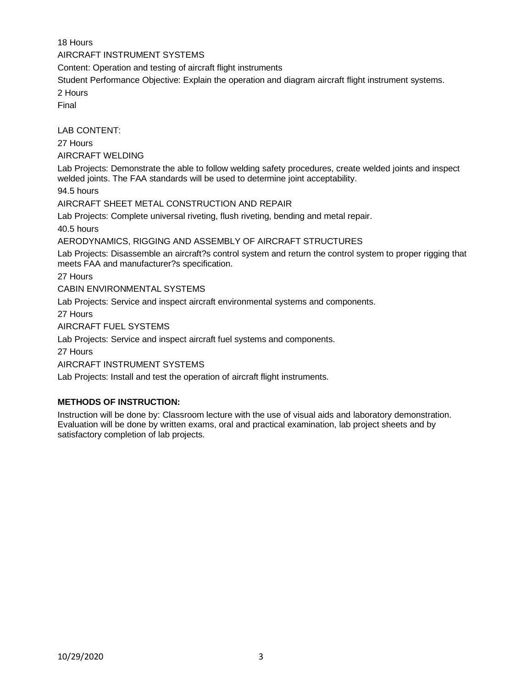18 Hours AIRCRAFT INSTRUMENT SYSTEMS Content: Operation and testing of aircraft flight instruments Student Performance Objective: Explain the operation and diagram aircraft flight instrument systems. 2 Hours Final LAB CONTENT: 27 Hours AIRCRAFT WELDING Lab Projects: Demonstrate the able to follow welding safety procedures, create welded joints and inspect welded joints. The FAA standards will be used to determine joint acceptability. 94.5 hours AIRCRAFT SHEET METAL CONSTRUCTION AND REPAIR Lab Projects: Complete universal riveting, flush riveting, bending and metal repair. 40.5 hours AERODYNAMICS, RIGGING AND ASSEMBLY OF AIRCRAFT STRUCTURES Lab Projects: Disassemble an aircraft?s control system and return the control system to proper rigging that meets FAA and manufacturer?s specification. 27 Hours CABIN ENVIRONMENTAL SYSTEMS

Lab Projects: Service and inspect aircraft environmental systems and components.

27 Hours

AIRCRAFT FUEL SYSTEMS

Lab Projects: Service and inspect aircraft fuel systems and components.

27 Hours

AIRCRAFT INSTRUMENT SYSTEMS

Lab Projects: Install and test the operation of aircraft flight instruments.

## **METHODS OF INSTRUCTION:**

Instruction will be done by: Classroom lecture with the use of visual aids and laboratory demonstration. Evaluation will be done by written exams, oral and practical examination, lab project sheets and by satisfactory completion of lab projects.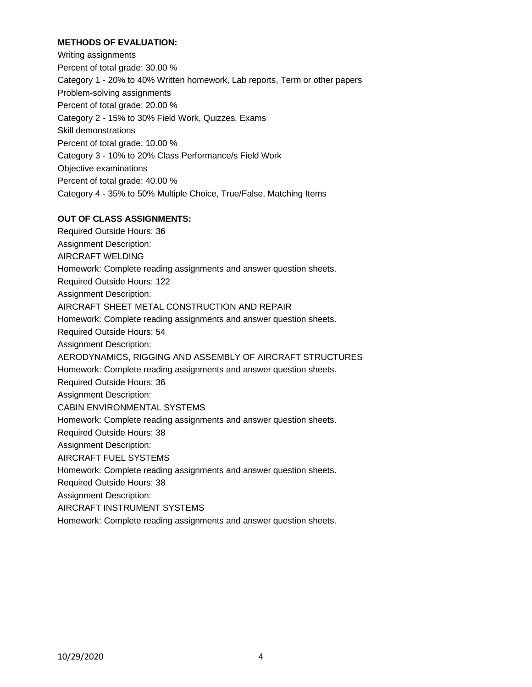# **METHODS OF EVALUATION:**

Writing assignments Percent of total grade: 30.00 % Category 1 - 20% to 40% Written homework, Lab reports, Term or other papers Problem-solving assignments Percent of total grade: 20.00 % Category 2 - 15% to 30% Field Work, Quizzes, Exams Skill demonstrations Percent of total grade: 10.00 % Category 3 - 10% to 20% Class Performance/s Field Work Objective examinations Percent of total grade: 40.00 % Category 4 - 35% to 50% Multiple Choice, True/False, Matching Items

### **OUT OF CLASS ASSIGNMENTS:**

Required Outside Hours: 36 Assignment Description: AIRCRAFT WELDING Homework: Complete reading assignments and answer question sheets. Required Outside Hours: 122 Assignment Description: AIRCRAFT SHEET METAL CONSTRUCTION AND REPAIR Homework: Complete reading assignments and answer question sheets. Required Outside Hours: 54 Assignment Description: AERODYNAMICS, RIGGING AND ASSEMBLY OF AIRCRAFT STRUCTURES Homework: Complete reading assignments and answer question sheets. Required Outside Hours: 36 Assignment Description: CABIN ENVIRONMENTAL SYSTEMS Homework: Complete reading assignments and answer question sheets. Required Outside Hours: 38 Assignment Description: AIRCRAFT FUEL SYSTEMS Homework: Complete reading assignments and answer question sheets. Required Outside Hours: 38 Assignment Description: AIRCRAFT INSTRUMENT SYSTEMS

Homework: Complete reading assignments and answer question sheets.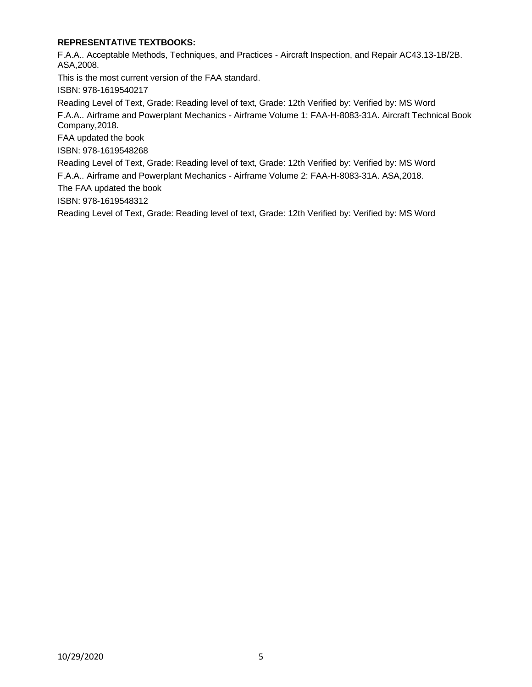# **REPRESENTATIVE TEXTBOOKS:**

F.A.A.. Acceptable Methods, Techniques, and Practices - Aircraft Inspection, and Repair AC43.13-1B/2B. ASA,2008.

This is the most current version of the FAA standard.

ISBN: 978-1619540217

Reading Level of Text, Grade: Reading level of text, Grade: 12th Verified by: Verified by: MS Word F.A.A.. Airframe and Powerplant Mechanics - Airframe Volume 1: FAA-H-8083-31A. Aircraft Technical Book

Company,2018.

FAA updated the book

ISBN: 978-1619548268

Reading Level of Text, Grade: Reading level of text, Grade: 12th Verified by: Verified by: MS Word F.A.A.. Airframe and Powerplant Mechanics - Airframe Volume 2: FAA-H-8083-31A. ASA,2018.

The FAA updated the book

ISBN: 978-1619548312

Reading Level of Text, Grade: Reading level of text, Grade: 12th Verified by: Verified by: MS Word